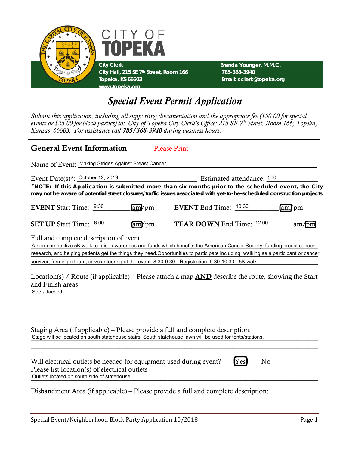

# *Special Event Permit Application*

*Submit this application, including all supporting documentation and the appropriate fee (\$50.00 for special events or \$25.00 for block parties) to: City of Topeka City Clerk's Office; 215 SE 7th Street, Room 166; Topeka, Kansas 66603. For assistance call 785/368-3940 during business hours.*

## General Event Information Please Print

Name of Event: Making Strides Against Breast Cancer Name of Breast Cancer Name of Event: Name of Event: Name of Breast Cancer Name of Breast Cancer Name of Breast Cancer Name of Breast Cancer Name of Breast Cancer Name of

| Event Date(s)*: October 12, 2019                                                                                                                                                           |       |                                  | Estimated attendance: 500 |    |       |
|--------------------------------------------------------------------------------------------------------------------------------------------------------------------------------------------|-------|----------------------------------|---------------------------|----|-------|
| *NOTE: If this Application is submitted more than six months prior to the scheduled event, the City                                                                                        |       |                                  |                           |    |       |
| may not be aware of potential street closures/traffic issues associated with yet-to-be-scheduled construction projects.                                                                    |       |                                  |                           |    |       |
| <b>EVENT</b> Start Time: 9:30                                                                                                                                                              | am/pm | <b>EVENT</b> End Time: 10:30     |                           |    | am/pm |
| <b>SET UP</b> Start Time: 6:00                                                                                                                                                             | am/pm | <b>TEAR DOWN End Time: 12:00</b> |                           |    | am/pm |
| Full and complete description of event:                                                                                                                                                    |       |                                  |                           |    |       |
| A non-competitive 5K walk to raise awareness and funds which benefits the American Cancer Society, funding breast cancer                                                                   |       |                                  |                           |    |       |
| research, and helping patients get the things they need.Opportunities to participate including: walking as a participant or cancer                                                         |       |                                  |                           |    |       |
| survivor, forming a team, or volunteering at the event. 8:30-9:30 - Registration. 9:30-10:30 - 5K walk.                                                                                    |       |                                  |                           |    |       |
| and Finish areas:<br>See attached.                                                                                                                                                         |       |                                  |                           |    |       |
| Staging Area (if applicable) – Please provide a full and complete description:<br>Stage will be located on south statehouse stairs. South statehouse lawn will be used for tents/stations. |       |                                  |                           |    |       |
| Will electrical outlets be needed for equipment used during event?<br>Please list location(s) of electrical outlets<br>Outlets located on south side of statehouse.                        |       |                                  | Yes                       | No |       |
| Disbandment Area (if applicable) – Please provide a full and complete description:                                                                                                         |       |                                  |                           |    |       |

 $\_$  , and the set of the set of the set of the set of the set of the set of the set of the set of the set of the set of the set of the set of the set of the set of the set of the set of the set of the set of the set of th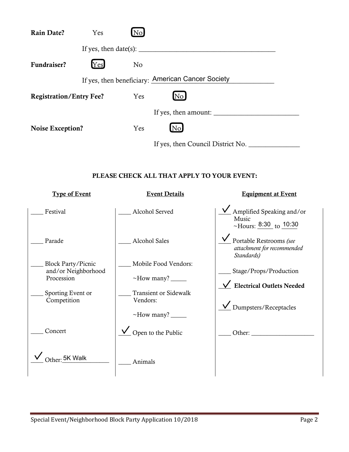| <b>Rain Date?</b>              | Yes | No.            |                                                   |  |
|--------------------------------|-----|----------------|---------------------------------------------------|--|
|                                |     |                | If yes, then $date(s)$ :                          |  |
| Fundraiser?                    | Yes | N <sub>o</sub> |                                                   |  |
|                                |     |                | If yes, then beneficiary: American Cancer Society |  |
| <b>Registration/Entry Fee?</b> |     | Yes            | No.                                               |  |
|                                |     |                | If yes, then amount:                              |  |
| <b>Noise Exception?</b>        |     | Yes            | $\rm{}[No]$                                       |  |
|                                |     |                | If yes, then Council District No.                 |  |

#### PLEASE CHECK ALL THAT APPLY TO YOUR EVENT:

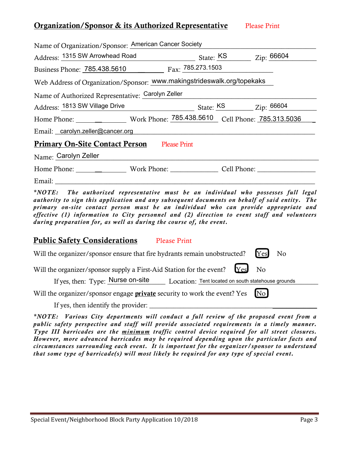### **Organization/Sponsor & its Authorized Representative Please Print**

| Name of Organization/Sponsor: American Cancer Society                                                                                                                                                                                                             |  |  |
|-------------------------------------------------------------------------------------------------------------------------------------------------------------------------------------------------------------------------------------------------------------------|--|--|
| Address: 1315 SW Arrowhead Road State: KS Zip: 66604                                                                                                                                                                                                              |  |  |
| Business Phone: 785.438.5610 Fax: 785.273.1503                                                                                                                                                                                                                    |  |  |
| Web Address of Organization/Sponsor: www.makingstrideswalk.org/topekaks                                                                                                                                                                                           |  |  |
| Name of Authorized Representative: Carolyn Zeller                                                                                                                                                                                                                 |  |  |
| Address: 1813 SW Village Drive State: KS Zip: 66604                                                                                                                                                                                                               |  |  |
|                                                                                                                                                                                                                                                                   |  |  |
| Email: carolyn.zeller@cancer.org entertainments and contact the contact of the contact of the contact of the contact of the contact of the contact of the contact of the contact of the contact of the contact of the contact                                     |  |  |
| <b>Primary On-Site Contact Person</b> Please Print                                                                                                                                                                                                                |  |  |
| Name: Carolyn Zeller                                                                                                                                                                                                                                              |  |  |
|                                                                                                                                                                                                                                                                   |  |  |
| Email: North and the second second second second second second second second second second second second second second second second second second second second second second second second second second second second secon                                    |  |  |
| $\frac{1}{2}$ and $\frac{1}{2}$ in the contract of $\frac{1}{2}$ in the contract of $\frac{1}{2}$ in the contract of $\frac{1}{2}$ in the contract of $\frac{1}{2}$ in the contract of $\frac{1}{2}$ in the contract of $\frac{1}{2}$ in the contract of $\frac{$ |  |  |

*\*NOTE: The authorized representative must be an individual who possesses full legal authority to sign this application and any subsequent documents on behalf of said entity. The primary on-site contact person must be an individual who can provide appropriate and effective (1) information to City personnel and (2) direction to event staff and volunteers during preparation for, as well as during the course of, the event.* 

#### Public Safety Considerations Please Print

|  |  | Will the organizer/sponsor ensure that fire hydrants remain unobstructed? [Yes] No |  |  |
|--|--|------------------------------------------------------------------------------------|--|--|
|--|--|------------------------------------------------------------------------------------|--|--|

Will the organizer/sponsor supply a First-Aid Station for the event? Yes No

If yes, then: Type: Nurse on-site Location: Tent located on south statehouse grounds

Will the organizer/sponsor engage **private** security to work the event? Yes [No]

If yes, then identify the provider: \_\_\_\_\_\_\_\_\_\_\_\_\_\_\_\_\_\_\_\_\_\_\_\_\_\_\_\_\_\_\_\_\_\_\_\_\_\_\_\_\_\_\_\_\_\_\_\_\_

*\*NOTE: Various City departments will conduct a full review of the proposed event from a public safety perspective and staff will provide associated requirements in a timely manner. Type III barricades are the minimum traffic control device required for all street closures. However, more advanced barricades may be required depending upon the particular facts and circumstances surrounding each event. It is important for the organizer/sponsor to understand that some type of barricade(s) will most likely be required for any type of special event.*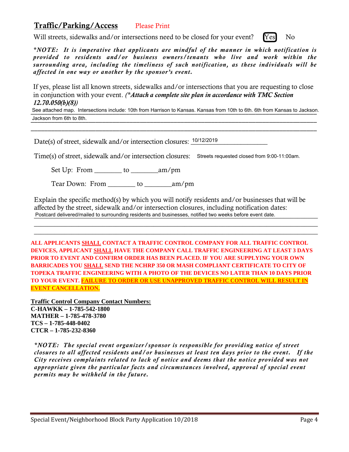# Traffic/Parking/Access Please Print

Will streets, sidewalks and/or intersections need to be closed for your event? [Yes] No

*\*NOTE: It is imperative that applicants are mindful of the manner in which notification is provided to residents and/or business owners/tenants who live and work within the surrounding area, including the timeliness of such notification, as these individuals will be affected in one way or another by the sponsor's event.* 

If yes, please list all known streets, sidewalks and/or intersections that you are requesting to close in conjunction with your event. *(\*Attach a complete site plan in accordance with TMC Section 12.70.050(b)(8))*

\_\_\_\_\_\_\_\_\_\_\_\_\_\_\_\_\_\_\_\_\_\_\_\_\_\_\_\_\_\_\_\_\_\_\_\_\_\_\_\_\_\_\_\_\_\_\_\_\_\_\_\_\_\_\_\_\_\_\_\_\_\_\_\_\_\_\_\_\_\_\_\_\_\_\_\_\_\_\_\_\_\_\_\_ See attached map. Intersections include: 10th from Harrison to Kansas. Kansas from 10th to 6th. 6th from Kansas to Jackson. \_\_\_\_\_\_\_\_\_\_\_\_\_\_\_\_\_\_\_\_\_\_\_\_\_\_\_\_\_\_\_\_\_\_\_\_\_\_\_\_\_\_\_\_\_\_\_\_\_\_\_\_\_\_\_\_\_\_\_\_\_\_\_\_\_\_\_\_\_\_\_\_\_\_\_\_\_\_\_\_\_\_\_\_ Jackson from 6th to 8th.

\_\_\_\_\_\_\_\_\_\_\_\_\_\_\_\_\_\_\_\_\_\_\_\_\_\_\_\_\_\_\_\_\_\_\_\_\_\_\_\_\_\_\_\_\_\_\_\_\_\_\_\_\_\_\_\_\_\_\_\_\_\_\_\_\_\_\_\_\_\_\_\_\_\_\_\_\_\_\_\_\_\_\_\_

Date(s) of street, sidewalk and/or intersection closures:  $10/12/2019$ 

Time(s) of street, sidewalk and/or intersection closures: Streets requested closed from 9:00-11:00am.

Set Up: From \_\_\_\_\_\_\_\_ to \_\_\_\_\_\_\_\_am/pm

Tear Down: From \_\_\_\_\_\_\_\_ to \_\_\_\_\_\_\_\_am/pm

Explain the specific method(s) by which you will notify residents and/or businesses that will be affected by the street, sidewalk and/or intersection closures, including notification dates: Postcard delivered/mailed to surrounding residents and businesses, notified two weeks before event date.

 $\_$  , and the set of the set of the set of the set of the set of the set of the set of the set of the set of the set of the set of the set of the set of the set of the set of the set of the set of the set of the set of th \_\_\_\_\_\_\_\_\_\_\_\_\_\_\_\_\_\_\_\_\_\_\_\_\_\_\_\_\_\_\_\_\_\_\_\_\_\_\_\_\_\_\_\_\_\_\_\_\_\_\_\_\_\_\_\_\_\_\_\_\_\_\_\_\_\_\_\_\_\_\_\_\_\_\_\_\_\_\_\_\_\_\_

**ALL APPLICANTS SHALL CONTACT A TRAFFIC CONTROL COMPANY FOR ALL TRAFFIC CONTROL DEVICES, APPLICANT SHALL HAVE THE COMPANY CALL TRAFFIC ENGINEERING AT LEAST 3 DAYS PRIOR TO EVENT AND CONFIRM ORDER HAS BEEN PLACED. IF YOU ARE SUPPLYING YOUR OWN BARRICADES YOU SHALL SEND THE NCHRP 350 OR MASH COMPLIANT CERTIFICATE TO CITY OF TOPEKA TRAFFIC ENGINEERING WITH A PHOTO OF THE DEVICES NO LATER THAN 10 DAYS PRIOR TO YOUR EVENT. FAILURE TO ORDER OR USE UNAPPROVED TRAFFIC CONTROL WILL RESULT IN EVENT CANCELLATION.**

**Traffic Control Company Contact Numbers: C-HAWKK – 1-785-542-1800 MATHER – 1-785-478-3780 TCS – 1-785-448-0402 CTCR – 1-785-232-8360** 

*\*NOTE: The special event organizer/sponsor is responsible for providing notice of street closures to all affected residents and/or businesses at least ten days prior to the event. If the City receives complaints related to lack of notice and deems that the notice provided was not appropriate given the particular facts and circumstances involved, approval of special event permits may be withheld in the future.*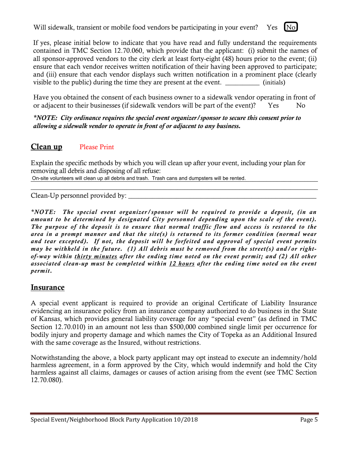Will sidewalk, transient or mobile food vendors be participating in your event? Yes [No]

If yes, please initial below to indicate that you have read and fully understand the requirements contained in TMC Section 12.70.060, which provide that the applicant: (i) submit the names of all sponsor-approved vendors to the city clerk at least forty-eight (48) hours prior to the event; (ii) ensure that each vendor receives written notification of their having been approved to participate; and (iii) ensure that each vendor displays such written notification in a prominent place (clearly visible to the public) during the time they are present at the event. \_\_\_\_\_\_\_\_\_\_\_\_ (initials)

Have you obtained the consent of each business owner to a sidewalk vendor operating in front of or adjacent to their businesses (if sidewalk vendors will be part of the event)? Yes No

*\*NOTE: City ordinance requires the special event organizer/sponsor to secure this consent prior to allowing a sidewalk vendor to operate in front of or adjacent to any business.*

## Clean up Please Print

Explain the specific methods by which you will clean up after your event, including your plan for removing all debris and disposing of all refuse:

\_\_\_\_\_\_\_\_\_\_\_\_\_\_\_\_\_\_\_\_\_\_\_\_\_\_\_\_\_\_\_\_\_\_\_\_\_\_\_\_\_\_\_\_\_\_\_\_\_\_\_\_\_\_\_\_\_\_\_\_\_\_\_\_\_\_\_\_\_\_\_\_\_\_\_\_\_\_\_\_\_\_\_\_

On-site volunteers will clean up all debris and trash. Trash cans and dumpsters will be rented.

Clean-Up personnel provided by:

*\*NOTE: The special event organizer/sponsor will be required to provide a deposit, (in an amount to be determined by designated City personnel depending upon the scale of the event). The purpose of the deposit is to ensure that normal traffic flow and access is restored to the area in a prompt manner and that the site(s) is returned to its former condition (normal wear and tear excepted). If not, the deposit will be forfeited and approval of special event permits may be withheld in the future. (1) All debris must be removed from the street(s) and/or rightof-way within thirty minutes after the ending time noted on the event permit; and (2) All other associated clean-up must be completed within 12 hours after the ending time noted on the event permit.* 

## **Insurance**

A special event applicant is required to provide an original Certificate of Liability Insurance evidencing an insurance policy from an insurance company authorized to do business in the State of Kansas, which provides general liability coverage for any "special event" (as defined in TMC Section 12.70.010) in an amount not less than \$500,000 combined single limit per occurrence for bodily injury and property damage and which names the City of Topeka as an Additional Insured with the same coverage as the Insured, without restrictions.

Notwithstanding the above, a block party applicant may opt instead to execute an indemnity/hold harmless agreement, in a form approved by the City, which would indemnify and hold the City harmless against all claims, damages or causes of action arising from the event (see TMC Section 12.70.080).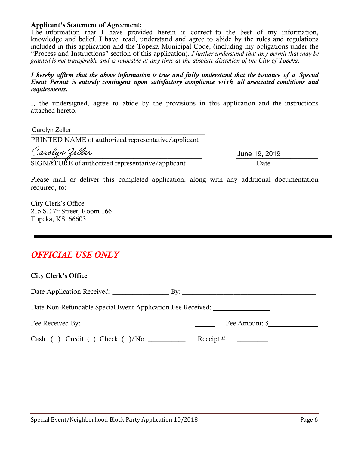#### Applicant's Statement of Agreement:

The information that I have provided herein is correct to the best of my information, knowledge and belief. I have read, understand and agree to abide by the rules and regulations included in this application and the Topeka Municipal Code, (including my obligations under the "Process and Instructions" section of this application). *I further understand that any permit that may be granted is not transferable and is revocable at any time at the absolute discretion of the City of Topeka*.

*I hereby affirm that the above information is true and fully understand that the issuance of a Special Event Permit is entirely contingent upon satisfactory compliance with all associated conditions and requirements.* 

I, the undersigned, agree to abide by the provisions in this application and the instructions attached hereto.

\_\_\_\_\_\_\_\_\_\_\_\_\_\_\_\_\_\_\_\_\_\_\_\_\_\_\_\_\_\_\_\_\_\_\_\_\_\_\_\_\_\_\_\_\_\_\_\_\_\_\_ Carolyn Zeller PRINTED NAME of authorized representative/applicant Carolyn Zeller

SIGNATURE of authorized representative/applicant Date

June 19, 2019

Please mail or deliver this completed application, along with any additional documentation required, to:

City Clerk's Office  $215$  SE  $7<sup>th</sup>$  Street, Room 166 Topeka, KS 66603

# *OFFICIAL USE ONLY*

| <b>City Clerk's Office</b>                                                  |                |
|-----------------------------------------------------------------------------|----------------|
|                                                                             |                |
| Date Non-Refundable Special Event Application Fee Received: _______________ |                |
|                                                                             | Fee Amount: \$ |
| Cash () Credit () Check ()/No. Receipt #                                    |                |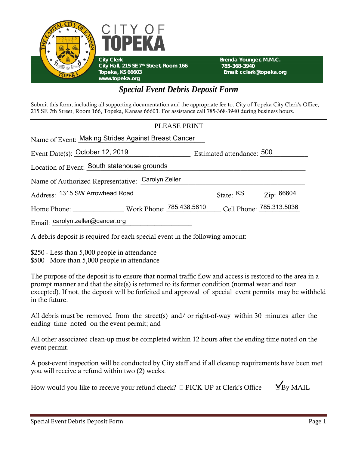



 **Brenda Younger, M.M.C. 785-368-3940 Email: cclerk@topeka.org** 

# *Special Event Debris Deposit Form*

Submit this form, including all supporting documentation and the appropriate fee to: City of Topeka City Clerk's Office; 215 SE 7th Street, Room 166, Topeka, Kansas 66603. For assistance call 785-368-3940 during business hours.

#### PLEASE PRINT

| Name of Event: Making Strides Against Breast Cancer |  |                                                |                          |
|-----------------------------------------------------|--|------------------------------------------------|--------------------------|
| Event Date(s): October 12, 2019                     |  | Estimated attendance: 500                      |                          |
| Location of Event: South statehouse grounds         |  |                                                |                          |
| Name of Authorized Representative: Carolyn Zeller   |  |                                                |                          |
| Address: 1315 SW Arrowhead Road                     |  | State: $\frac{\text{KS}}{\text{K}}$ Zip: 66604 |                          |
|                                                     |  |                                                | Cell Phone: 785.313.5036 |
| Email: carolyn.zeller@cancer.org                    |  |                                                |                          |

A debris deposit is required for each special event in the following amount:

\$250 - Less than 5,000 people in attendance \$500 - More than 5,000 people in attendance

The purpose of the deposit is to ensure that normal traffic flow and access is restored to the area in a prompt manner and that the site(s) is returned to its former condition (normal wear and tear excepted). If not, the deposit will be forfeited and approval of special event permits may be withheld in the future.

All debris must be removed from the street(s) and/ or right-of-way within 30 minutes after the ending time noted on the event permit; and

All other associated clean-up must be completed within 12 hours after the ending time noted on the event permit.

A post-event inspection will be conducted by City staff and if all cleanup requirements have been met you will receive a refund within two (2) weeks.

| How would you like to receive your refund check? $\Box$ PICK UP at Clerk's Office | $M_{\text{Bv}}$ MAIL |
|-----------------------------------------------------------------------------------|----------------------|
|-----------------------------------------------------------------------------------|----------------------|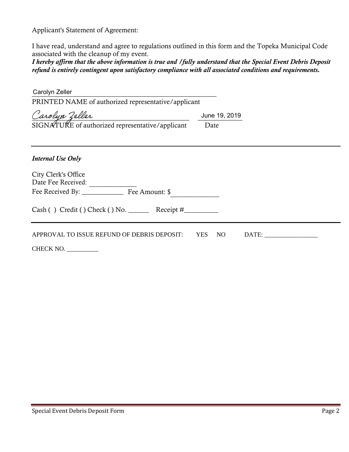Applicant's Statement of Agreement:

I have read, understand and agree to regulations outlined in this form and the Topeka Municipal Code associated with the cleanup of my event.

*I hereby affirm that the above information is true and /fully understand that the Special Event Debris Deposit refund is entirely contingent upon satisfactory compliance with all associated conditions and requirements.*

| PRINTED NAME of authorized representative/applicant         |
|-------------------------------------------------------------|
| June 19, 2019                                               |
| Date                                                        |
|                                                             |
|                                                             |
|                                                             |
|                                                             |
| $Cash() Credit() Check() No.$ Receipt #                     |
| APPROVAL TO ISSUE REFUND OF DEBRIS DEPOSIT: YES NO<br>DATE: |
|                                                             |
|                                                             |